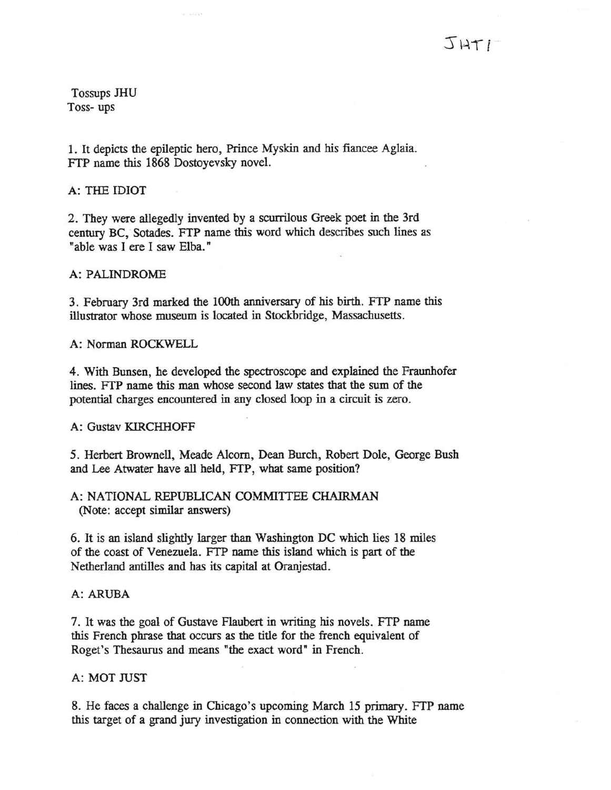Tossups JHU Toss- ups

1. It depicts the epileptic hero, Prince Myskin and his fiancee Aglaia. FTP name this 1868 Dostoyevsky novel.

A: THE IDIOT

2. They were allegedly invented by a scurrilous Greek poet in the 3rd century BC, Sotades. FTP name this word which describes such lines as "able was I ere I Saw Elba."

A: PALINDROME

3. February 3rd marked the l00th anniversary of his birth. FTP name this illustrator whose museum is located in Stockbridge, Massachusetts.

A: Norman ROCKWELL

4. With Bunsen, he developed the spectroscope and explained the Fraunhofer lines. FTP name this man whose second law states that the sum of the potential charges encountered in any closed loop in a circuit is zero.

# A: Gustav KIRCHHOFF

5. Herbert Brownell, Meade Alcorn, Dean Burch, Robert Dole, George Bush and Lee Atwater have all held, FTP, what same position?

# A: NATIONAL REPUBLICAN COMMITTEE CHAIRMAN (Note: accept similar answers)

6. It is an island slightly larger than Washington DC which lies 18 miles of the coast of Venezuela. FfP name this island which is part of the Netherland antilles and has its capital at Oranjestad.

# A: ARUBA

7. It was the goal of Gustave Flaubert in writing his novels. FTP name this French phrase that occurs as the title for the french equivalent of Roget's Thesaurus and means "the exact word" in French.

# A: MOT JUST

8. He faces a challenge in Chicago's upcoming March 15 primary. FTP name this target of a grand jury investigation in connection with the White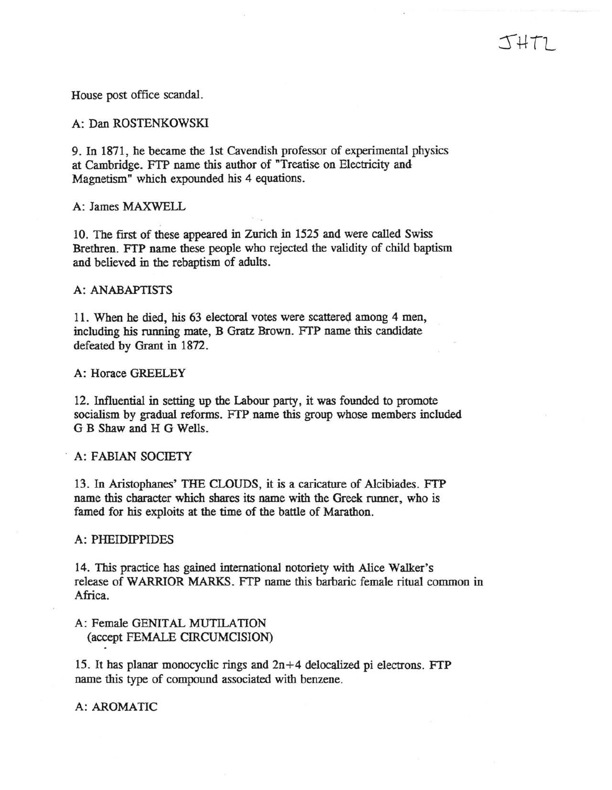# $J+T1$

House post office scandal.

A: Dan ROSTENKOWSKI

9. In 1871, he became the 1st Cavendish professor of experimental physics at Cambridge. FTP name this author of "Treatise on Electricity and Magnetism" which expounded his 4 equations.

A: James MAXWELL

10. The first of these appeared in Zurich in 1525 and were called Swiss Brethren. FTP name these people who rejected the Validity of child baptism and believed in the rebaptism of adults.

#### A: ANABAPTISTS

11. When he died, his 63 electoral votes were scattered among 4 men, including his running mate, B Gratz Brown. FTP name this candidate defeated by Grant in 1872.

A: Horace GREELEY

12. Influential in setting up the Labour party, it was founded to promote socialism by gradual reforms. FTP name this group whose members included G B Shaw and H G Wells.

A: FABIAN SOCIETY

13. In Aristophanes' THE CLOUDS, it is a caricature of Alcibiades. FTP name this character which shares its name with the Greek runner, who is famed for his exploits at the time of the battle of Marathon.

A: PHEIDIPPIDES

14. This practice has gained international notoriety with Alice Walker's release of WARRIOR MARKS. FTP name this barbaric female ritual common in Africa.

A: Female GENITAL MUTILATION (accept FEMALE CIRCUMCISION)

15. It has planar monocyclic rings and  $2n+4$  delocalized pi electrons. FTP name this type of compound associated with benzene.

A: AROMATIC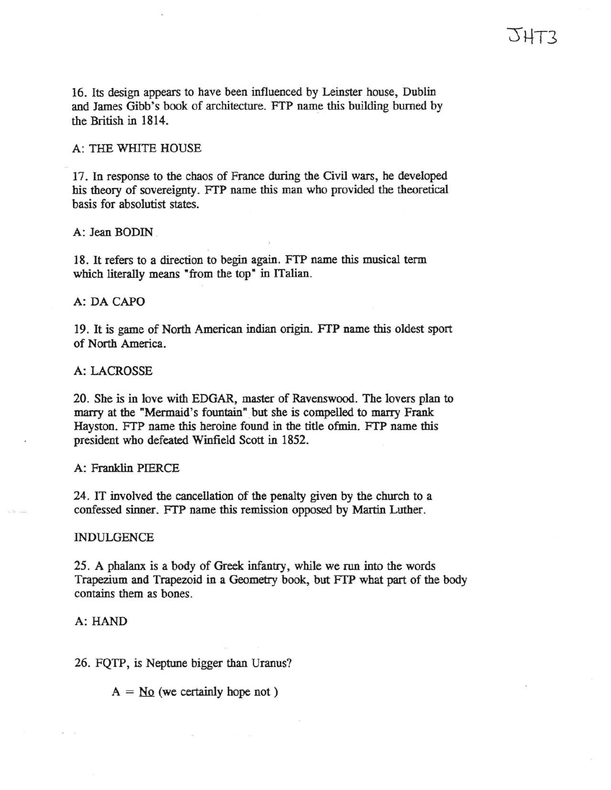16. Its design appears to have been influenced by Leinster house, Dublin and James Gibb's book of architecture. FTP name this building burned by the British in 1814.

# A: THE WHITE HOUSE

17. In response to the chaos of France during the Civil wars, he developed his theory of sovereignty. FrP name this man who provided the theoretical basis for absolutist states.

A: Jean BODIN .

18. It refers to a direction to begin again. FTP name this musical term which literally means "from the top" in ITalian.

### A: DA CAPO

19. It is game of North American indian origin. FTP name this oldest sport of North America.

# A: LACROSSE

20. She is in love with EDGAR, master of Ravenswood. The lovers plan to marry at the "Mermaid's fountain" but she is compelled to marry Frank Hayston. FrP name this heroine found in the title ofmin. FrP name this president who defeated Winfield Scott in 1852.

#### A: Franklin PIERCE

24. IT involved the cancellation of the penalty given by the church to a confessed sinner. FTP name this remission opposed by Martin Luther.

#### INDULGENCE

25. A phalanx is a body of Greek infantry, while we run into the words Trapezium and Trapezoid in a Geometry book, but FfP what part of the body contains them as bones.

# A: HAND

26. FQTP, is Neptune bigger than Uranus?

 $A = No$  (we certainly hope not)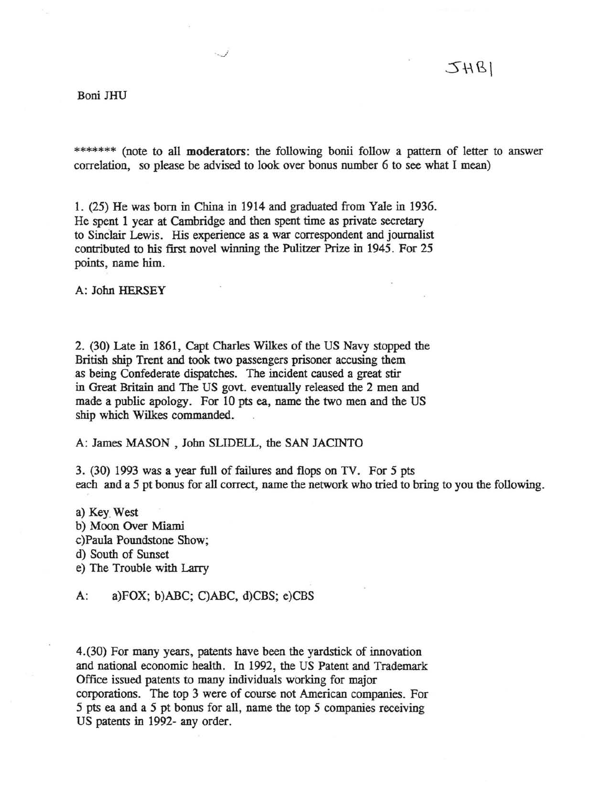#### Boni JHU

\*\*\*\*\*\*\* (note to all moderators: the following bonii follow a pattern of letter to answer correlation, so please be advised to look over bonus number 6 to see what I mean)

1. (25) He was born in China in 1914 and graduated from Yale in 1936. He spent 1 year at Cambridge and then spent time as private secretary to Sinclair Lewis. His experience as a war correspondent and journalist contributed to his first novel winning the Pulitzer Prize in 1945. For 25 points, name him.

 $\smash{\smash{\downarrow}}$ 

A: John HERSEY

2. (30) Late in 1861, Capt Charles Wilkes of the US Navy stopped the British ship Trent and took two passengers prisoner accusing them as being Confederate dispatches. The incident caused a great stir in Great Britain and The US govt. eventually released the 2 men and made a public apology. For 10 pts ea, name the two men and the US ship which Wilkes commanded.

A: James MASON, John SLIDELL, the SAN JACINTO

3. (30) 1993 was a year full of failures and flops on TV. For 5 pts each and a 5 pt bonus for all correct, name the network who tried to bring to you the following.

a) Key\_ West b) Moon Over Miami c)Paula Poundstone Show; d) South of Sunset e) The Trouble with Larry

A: a)FOX; b)ABC; C)ABC, d)CBS; e)CBS

4.(30) For many years, patents have been the yardstick of innovation and national economic health. In 1992, the US Patent and Trademark Office issued patents to many individuals working for major corporations. The top 3 were of course not American companies. For 5 pts ea and a 5 pt bonus for all, name the top 5 companies receiving US patents in 1992- any order.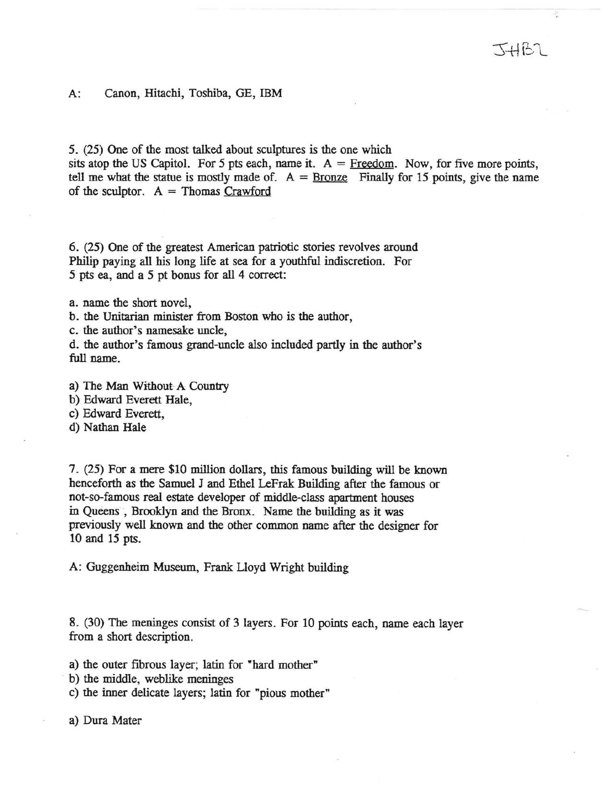A: Canon, Hitachi, Toshiba, GE, IBM

5. (25) One of the most talked about sculptures is the one which

sits atop the US Capitol. For 5 pts each, name it.  $A = Fredom$ . Now, for five more points, tell me what the statue is mostly made of.  $A =$  Bronze Finally for 15 points, give the name of the sculptor.  $A = Thomas Crawford$ 

6. (25) One of the greatest American patriotic stories revolves around Philip paying all his long life at sea for a youthful indiscretion. For 5 pts ea, and a 5 pt bonus for all 4 correct:

a. name the short novel,

b. the Unitarian minister from Boston who is the author,

c. the author's namesake uncle,

d. the author's famous grand-uncle also included partly in the author's full name.

- a) The Man Without-A Country
- b) Edward Everett Hale,

c) Edward Everett,

d) Nathan Hale

7. (25) For a mere \$10 million dollars, this famous building will be known henceforth as the Samuel J and Ethel LeFrak Building after the famous or not-so-famous real estate developer of middle-class apartment houses in Queens, Brooklyn and the Bronx. Name the building as it was previously well known and the other common name after the designer for 10 and 15 pts.

A: Guggenheim Museum, Frank Lloyd Wright building

8. (30) The meninges consist of 3 layers. For 10 points each, name each layer from a short description.

a) the outer fibrous layer; latin for "hard mother"

b) the middle, weblike meninges

c) the inner delicate layers; latin for "pious mother"

a) Dura Mater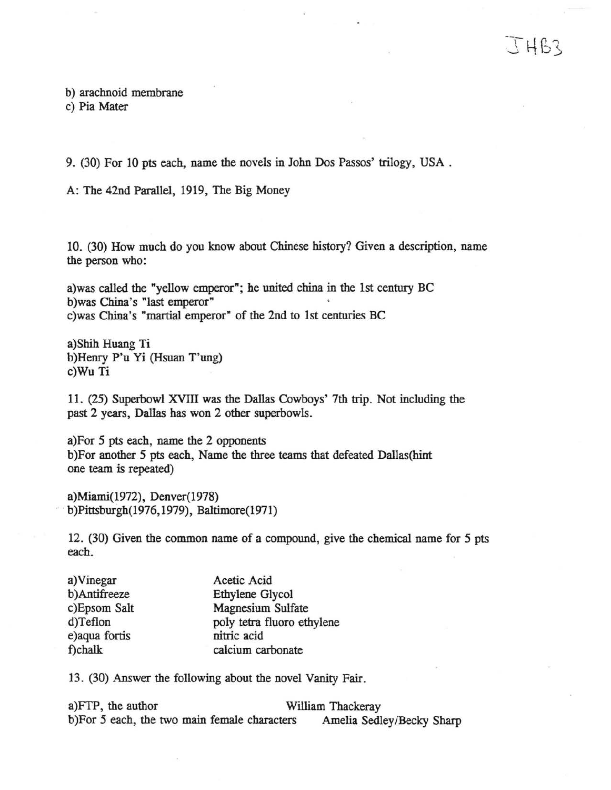# $THB2$

b) arachnoid membrane c) Pia Mater

9. (30) For 10 pts each, name the novels in John Dos Passos' trilogy, USA.

A: The 42nd Parallel, 1919, The Big Money

10. (30) How much do you know about Chinese history? Given a description, name the person who:

a)was called the "yellow emperor"; he united china in the 1st century BC b)was China's "last emperor" c) was China's "martial emperor" of the 2nd to 1st centuries BC

a)Shih Huang Ti b )Henry P'u Yi (Hsuan T'ung) c)Wu Ti

11. (25) Superbowl XVIII was the Dallas Cowboys' 7th trip. Not including the past 2 years, Dallas has won 2 other superbowls.

a)For 5 pts each, name the 2 opponents b)For another 5 pts each, Name the three teams that defeated Dallas(hint one team is repeated)

a)Miami(1972), Denver(l978) b)Pittsburgh(1976, 1979), Baltimore(1971)

12. (30) Given the common name of a compound, give the chemical name for 5 pts each.

| a) Vinegar     | Acetic Acid                |
|----------------|----------------------------|
| b)Antifreeze   | Ethylene Glycol            |
| c)Epsom Salt   | Magnesium Sulfate          |
| d)Teflon       | poly tetra fluoro ethylene |
| e) aqua fortis | nitric acid                |
| f)chalk        | calcium carbonate          |

13. (30) Answer the following about the novel Vanity Fair.

a)FTP, the author William Thackeray b)For 5 each, the two main female characters Amelia Sedley/Becky Sharp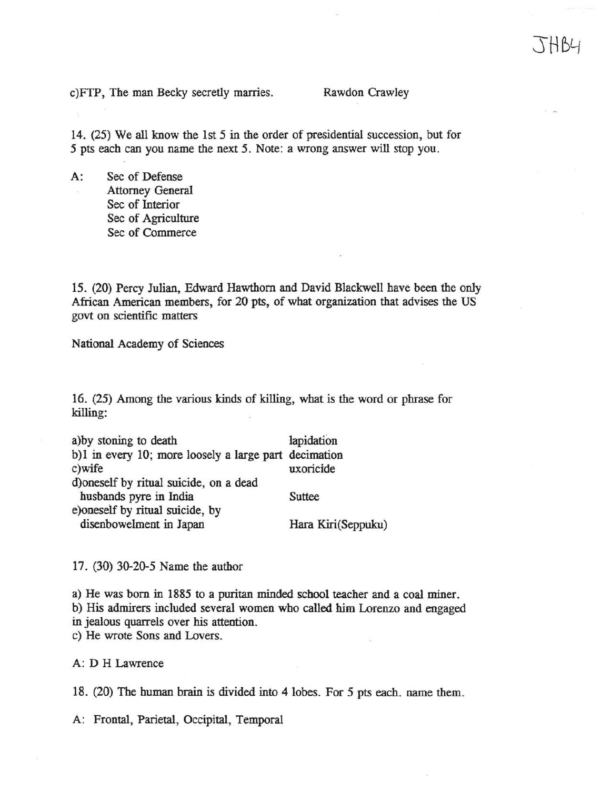c)FTP, The man Becky secretly marries. Rawdon Crawley

14. (25) We all know the 1st 5 in the order of presidential succession, but for 5 pts each can you name the next 5. Note: a wrong answer will stop you.

A: Sec of Defense Attorney General Sec of Interior Sec of Agriculture Sec of Commerce

15. (20) Percy Julian, Edward Hawthorn and David Blackwell have been the only African American members, for 20 pts, of what organization that advises the US govt on scientific matters

National Academy of Sciences

16. (25) Among the various kinds of killing, what is the word or phrase for killing:

| a)by stoning to death                                           | lapidation         |
|-----------------------------------------------------------------|--------------------|
| b)1 in every 10; more loosely a large part decimation<br>c)wife | uxoricide          |
| d)oneself by ritual suicide, on a dead                          |                    |
| husbands pyre in India                                          | <b>Suttee</b>      |
| e)oneself by ritual suicide, by                                 |                    |
| disenbowelment in Japan                                         | Hara Kiri(Seppuku) |

17. (30) 30-20-5 Name the author

a) He was born in 1885 to a puritan minded school teacher and a coal miner. b) His admirers included several women who called him Lorenzo and engaged in jealous quarrels over his attention. c) He wrote Sons and Lovers.

A: D H Lawrence

18. (20) The human brain is divided into 4 lobes. For 5 pts each. name them.

A: Frontal, Parietal, Occipital, Temporal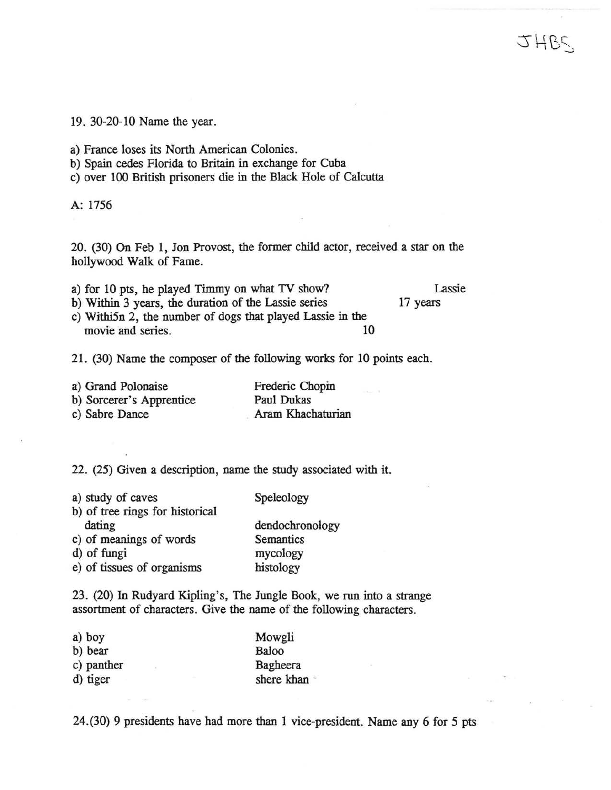19. 30-20-10 Name the year.

a) France loses its North American Colonies.

b) Spain cedes Florida to Britain in exchange for Cuba

c) over 100 British prisoners die in the Black Hole of Calcutta

A: 1756

20. (30) On Feb 1, Jon Provost, the former child actor, received a star on the hollywood Walk of Fame.

|  |  |  |  | a) for 10 pts, he played Timmy on what TV show? | Lassie |
|--|--|--|--|-------------------------------------------------|--------|
|  |  |  |  |                                                 |        |

17 years

2HBC

c) Withi5n 2, the number of dogs that played Lassie in the movie and series. 10

b) Within 3 years, the duration of the Lassie series

21. (30) Name the composer of the following works for 10 points each.

| a) Grand Polonaise       | Frederic Chopin   |
|--------------------------|-------------------|
| b) Sorcerer's Apprentice | Paul Dukas        |
| c) Sabre Dance           | Aram Khachaturian |

22. (25) Given a description, name the study associated with it.

| a) study of caves               | Speleology      |
|---------------------------------|-----------------|
| b) of tree rings for historical |                 |
| dating                          | dendochronology |
| c) of meanings of words         | Semantics       |
| d) of fungi                     | mycology        |
| e) of tissues of organisms      | histology       |

23. (20) In Rudyard Kipling's, The Jungle Book, we run into a strange assortment of characters. Give the name of the following characters.

| a) boy                  | Mowgli     |
|-------------------------|------------|
| b) bear                 | Baloo      |
| c) panther<br>$\sim 10$ | Bagheera   |
| d) tiger                | shere khan |

24.(30) 9 presidents have had more than 1 vice-president. Name any 6 for 5 pts